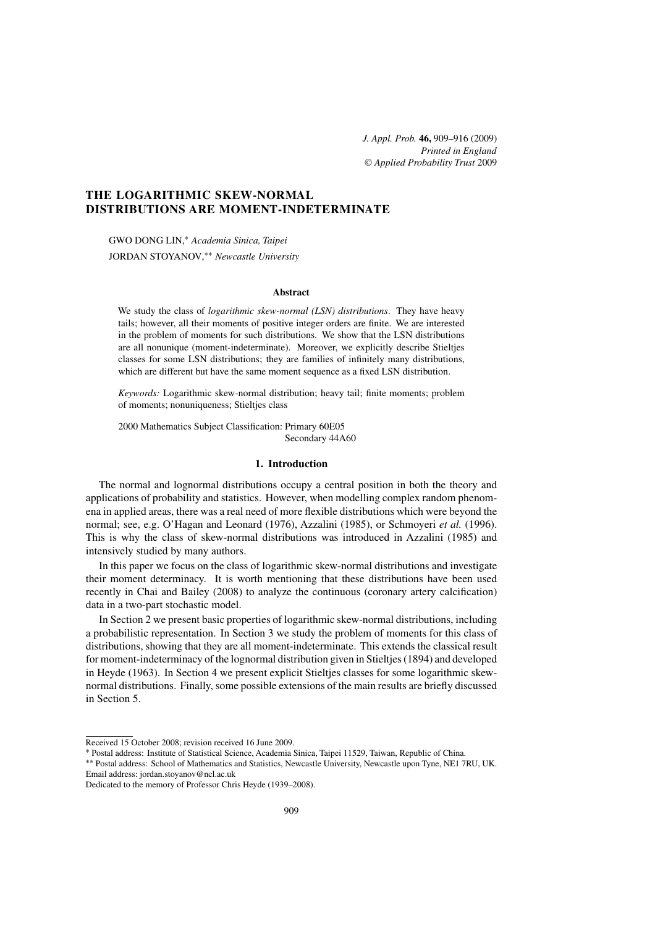*J. Appl. Prob.* **46,** 909[–916](#page-7-0) (2009) *Printed in England* © *[Applied Probability Trust](http://www.appliedprobability.org)* 2009

# **THE LOGARITHMIC SKEW-NORMAL DISTRIBUTIONS ARE MOMENT-INDETERMINATE**

GWO DONG LIN,<sup>∗</sup> *Academia Sinica, Taipei* JORDAN STOYANOV,∗∗ *Newcastle University*

### **Abstract**

We study the class of *logarithmic skew-normal (LSN) distributions*. They have heavy tails; however, all their moments of positive integer orders are finite. We are interested in the problem of moments for such distributions. We show that the LSN distributions are all nonunique (moment-indeterminate). Moreover, we explicitly describe Stieltjes classes for some LSN distributions; they are families of infinitely many distributions, which are different but have the same moment sequence as a fixed LSN distribution.

*Keywords:* Logarithmic skew-normal distribution; heavy tail; finite moments; problem of moments; nonuniqueness; Stieltjes class

2000 Mathematics Subject Classification: Primary 60E05 Secondary 44A60

## **1. Introduction**

The normal and lognormal distributions occupy a central position in both the theory and applications of probability and statistics. However, when modelling complex random phenomena in applied areas, there was a real need of more flexible distributions which were beyond the normal; see, e.g. O'Hagan and Leonard (1976), Azzalini (1985), or Schmoyeri *et al.* (1996). This is why the class of skew-normal distributions was introduced in Azzalini (1985) and intensively studied by many authors.

In this paper we focus on the class of logarithmic skew-normal distributions and investigate their moment determinacy. It is worth mentioning that these distributions have been used recently in Chai and Bailey (2008) to analyze the continuous (coronary artery calcification) data in a two-part stochastic model.

In Section 2 we present basic properties of logarithmic skew-normal distributions, including a probabilistic representation. In Section 3 we study the problem of moments for this class of distributions, showing that they are all moment-indeterminate. This extends the classical result for moment-indeterminacy of the lognormal distribution given in Stieltjes (1894) and developed in Heyde (1963). In Section 4 we present explicit Stieltjes classes for some logarithmic skewnormal distributions. Finally, some possible extensions of the main results are briefly discussed in Section 5.

Received 15 October 2008; revision received 16 June 2009.

<sup>∗</sup> Postal address: Institute of Statistical Science, Academia Sinica, Taipei 11529, Taiwan, Republic of China.

<sup>∗∗</sup> Postal address: School of Mathematics and Statistics, Newcastle University, Newcastle upon Tyne, NE1 7RU, UK. Email address: [jordan.stoyanov@ncl.ac.uk](mailto:jordan.stoyanov@ncl.ac.uk?subject=J. Appl. Prob.%20paper%2012868)

Dedicated to the memory of Professor Chris Heyde (1939–2008).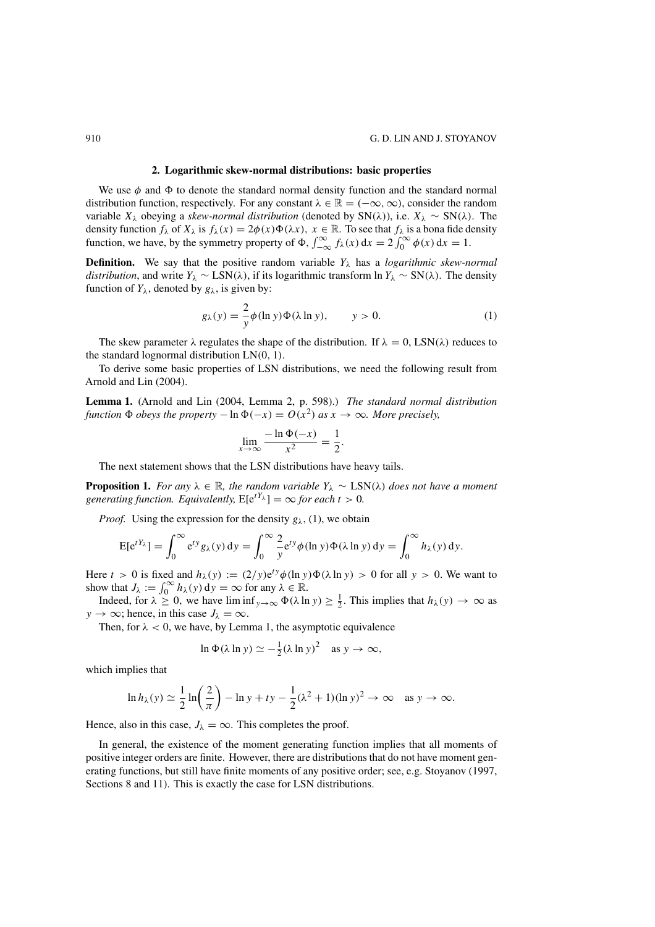#### **2. Logarithmic skew-normal distributions: basic properties**

<span id="page-1-0"></span>We use  $\phi$  and  $\Phi$  to denote the standard normal density function and the standard normal<br>tribution function, respectively. For any constant  $\lambda \in \mathbb{R} - (-\infty, \infty)$ , consider the random distribution function, respectively. For any constant  $\lambda \in \mathbb{R} = (-\infty, \infty)$ , consider the random variable  $X_{\lambda}$  obeying a *skew-normal distribution* (denoted by SN( $\lambda$ )), i.e.  $X_{\lambda} \sim SN(\lambda)$ . The variable  $X_{\lambda}$  obeying a *skew-normal distribution* (denoted by  $SN(\lambda)$ ), i.e.  $X_{\lambda} \sim SN(\lambda)$ . The density function  $f_{\lambda}$  of  $X_{\lambda}$  is  $f_{\lambda}(x) = 2\phi(x)\Phi(\lambda x)$ ,  $x \in \mathbb{R}$ . To see that  $f_{\lambda}$  is a bona fide density density function  $f_{\lambda}$  of  $X_{\lambda}$  is  $f_{\lambda}(x) = 2\phi(x)\Phi(\lambda x)$ ,  $x \in \mathbb{R}$ . To see that  $f_{\lambda}$  is a bona fide density function we have by the symmetry property of  $\Phi$   $\int_{-\infty}^{\infty} f(x) dx = 2 \int_{-\infty}^{\infty} \phi(x) dx = 1$ function, we have, by the symmetry property of  $\Phi$ ,  $\int_{-\infty}^{\infty} f_{\lambda}(x) dx = 2 \int_{0}^{\infty} \phi(x) dx = 1$ .

**Definition.** We say that the positive random variable  $Y_\lambda$  has a *logarithmic skew-normal distribution*, and write  $Y_\lambda \sim \text{LSN}(\lambda)$ , if its logarithmic transform ln  $Y_\lambda \sim \text{SN}(\lambda)$ . The density function of  $Y_{\lambda}$ , denoted by  $g_{\lambda}$ , is given by:

$$
g_{\lambda}(y) = \frac{2}{y}\phi(\ln y)\Phi(\lambda \ln y), \qquad y > 0.
$$
 (1)

The skew parameter  $\lambda$  regulates the shape of the distribution. If  $\lambda = 0$ , LSN( $\lambda$ ) reduces to the standard lognormal distribution  $LN(0, 1)$ .

To derive some basic properties of LSN distributions, we need the following result from Arnold and Lin (2004).

**Lemma 1.** (Arnold and Lin (2004, Lemma 2, p. 598).) *The standard normal distribution*  $function \Phi$  *obeys the property*  $- \ln \Phi(-x) = O(x^2)$  *as*  $x \to \infty$ *. More precisely,* 

$$
\lim_{x \to \infty} \frac{-\ln \Phi(-x)}{x^2} = \frac{1}{2}.
$$

The next statement shows that the LSN distributions have heavy tails.

**Proposition 1.** *For any*  $\lambda \in \mathbb{R}$ *, the random variable*  $Y_{\lambda} \sim \text{LSN}(\lambda)$  *does not have a moment generating function. Equivalently,*  $E[e^{tY_\lambda}] = \infty$  for each  $t > 0$ .

*Proof.* Using the expression for the density  $g_{\lambda}$ , (1), we obtain

$$
E[e^{tY_{\lambda}}] = \int_0^{\infty} e^{ty} g_{\lambda}(y) dy = \int_0^{\infty} \frac{2}{y} e^{ty} \phi(\ln y) \Phi(\lambda \ln y) dy = \int_0^{\infty} h_{\lambda}(y) dy.
$$

Here  $t > 0$  is fixed and  $h_{\lambda}(y) := (2/y)e^{ty}\phi(\ln y)\Phi(\lambda \ln y) > 0$  for all  $y > 0$ . We want to show that  $L := \int_{-\infty}^{\infty} h_{\lambda}(y) dy = \infty$  for any  $\lambda \in \mathbb{R}$ show that  $J_{\lambda} := \int_0^{\infty} h_{\lambda}(y) dy = \infty$  for any  $\lambda \in \mathbb{R}$ .<br>Indeed, for  $\lambda > 0$ , we have liminf  $\phi(\lambda)$  in

Indeed, for  $\lambda \ge 0$ , we have  $\liminf_{y \to \infty} \Phi(\lambda \ln y) \ge \frac{1}{2}$ . This implies that  $h_{\lambda}(y) \to \infty$  as  $y \to \infty$ ; hence, in this case  $J_{\lambda} = \infty$ .

Then, for  $\lambda < 0$ , we have, by Lemma 1, the asymptotic equivalence

$$
\ln \Phi(\lambda \ln y) \simeq -\frac{1}{2} (\lambda \ln y)^2 \quad \text{as } y \to \infty,
$$

which implies that

$$
\ln h_{\lambda}(y) \simeq \frac{1}{2} \ln \left( \frac{2}{\pi} \right) - \ln y + ty - \frac{1}{2} (\lambda^2 + 1) (\ln y)^2 \to \infty \quad \text{as } y \to \infty.
$$

Hence, also in this case,  $J_{\lambda} = \infty$ . This completes the proof.

In general, the existence of the moment generating function implies that all moments of positive integer orders are finite. However, there are distributions that do not have moment generating functions, but still have finite moments of any positive order; see, e.g. Stoyanov (1997, Sections 8 and 11). This is exactly the case for LSN distributions.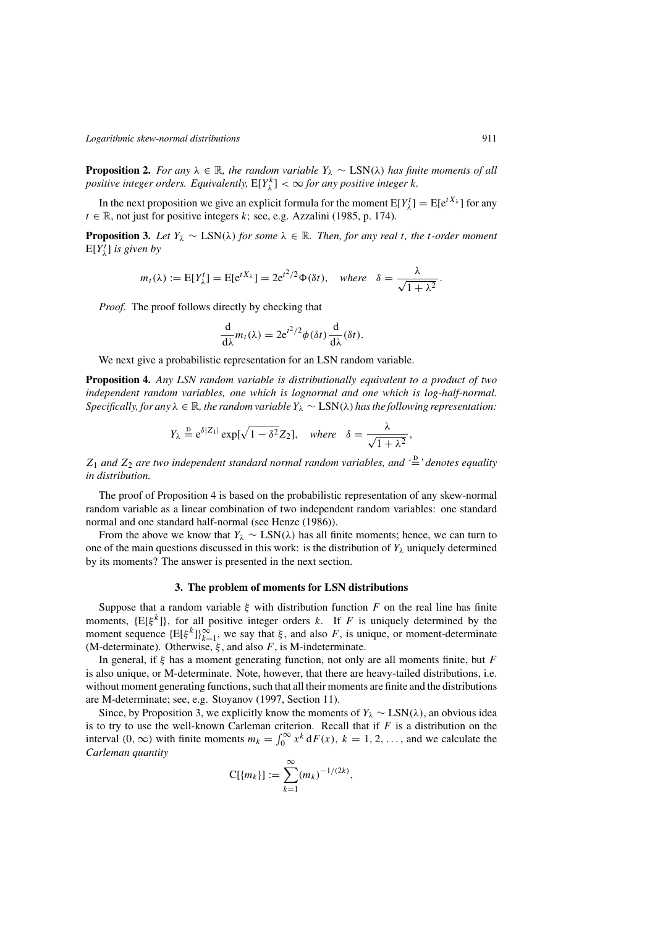**Proposition 2.** *For any*  $\lambda \in \mathbb{R}$ *, the random variable*  $Y_{\lambda} \sim \text{LSN}(\lambda)$  *has finite moments of all positive integer orders. Equivalently,*  $E[Y_{\lambda}^{k}] < \infty$  *for any positive integer k.* 

In the next proposition we give an explicit formula for the moment  $E[Y^t_\lambda] = E[e^{tX_\lambda}]$  for any  $\mathbb{R}$  not just for positive integers k: see, e.g. Azzalini (1985, p. 174)  $t \in \mathbb{R}$ , not just for positive integers k; see, e.g. Azzalini (1985, p. 174).

**Proposition 3.** Let  $Y_\lambda$  ∼ LSN( $\lambda$ ) for some  $\lambda \in \mathbb{R}$ . Then, for any real t, the t-order moment  $E[Y^t_\lambda]$  is given by

$$
m_t(\lambda) := E[Y^t_{\lambda}] = E[e^{tX_{\lambda}}] = 2e^{t^2/2}\Phi(\delta t), \text{ where } \delta = \frac{\lambda}{\sqrt{1 + \lambda^2}}.
$$

*Proof.* The proof follows directly by checking that

$$
\frac{\mathrm{d}}{\mathrm{d}\lambda}m_t(\lambda) = 2e^{t^2/2}\phi(\delta t)\frac{\mathrm{d}}{\mathrm{d}\lambda}(\delta t).
$$

We next give a probabilistic representation for an LSN random variable.

**Proposition 4.** *Any LSN random variable is distributionally equivalent to a product of two independent random variables, one which is lognormal and one which is log-half-normal. Specifically, for any*  $\lambda \in \mathbb{R}$ *, the random variable*  $Y_{\lambda} \sim$  LSN( $\lambda$ ) *has the following representation:* 

$$
Y_{\lambda} \stackrel{\text{D}}{=} e^{\delta |Z_1|} \exp[\sqrt{1-\delta^2} Z_2], \quad \text{where} \quad \delta = \frac{\lambda}{\sqrt{1+\lambda^2}},
$$

 $Z_1$  and  $Z_2$  are two independent standard normal random variables, and  $\stackrel{\text{d}}{=}$  denotes equality<br>in distribution *in distribution.*

The proof of Proposition 4 is based on the probabilistic representation of any skew-normal random variable as a linear combination of two independent random variables: one standard normal and one standard half-normal (see Henze (1986)).

From the above we know that  $Y_\lambda \sim \text{LSN}(\lambda)$  has all finite moments; hence, we can turn to one of the main questions discussed in this work: is the distribution of  $Y_{\lambda}$  uniquely determined by its moments? The answer is presented in the next section.

#### **3. The problem of moments for LSN distributions**

Suppose that a random variable  $\xi$  with distribution function F on the real line has finite moments,  $\{E[\xi^k]\}$ , for all positive integer orders k. If F is uniquely determined by the moment sequence  $\{E[\xi^k]\}_{k=1}^{\infty}$ , we say that  $\xi$ , and also  $F$ , is unique, or moment-determinate<br>(M-determinate) Otherwise  $\xi$  and also  $F$  is M-indeterminate (M-determinate). Otherwise,  $\xi$ , and also F, is M-indeterminate.

In general, if  $\xi$  has a moment generating function, not only are all moments finite, but F is also unique, or M-determinate. Note, however, that there are heavy-tailed distributions, i.e. without moment generating functions, such that all their moments are finite and the distributions are M-determinate; see, e.g. Stoyanov (1997, Section 11).

Since, by Proposition 3, we explicitly know the moments of  $Y_\lambda \sim \text{LSN}(\lambda)$ , an obvious idea is to try to use the well-known Carleman criterion. Recall that if F is a distribution on the interval  $(0, \infty)$  with finite moments  $m_i = \int_{-\infty}^{\infty} x^k dE(x)$ ,  $k = 1, 2, \ldots$  and we calculate the interval  $(0, \infty)$  with finite moments  $m_k = \int_0^\infty x^k dF(x)$ ,  $k = 1, 2, ...,$  and we calculate the Carloman quantity. *Carleman quantity*

$$
C[{m_k}] := \sum_{k=1}^{\infty} (m_k)^{-1/(2k)},
$$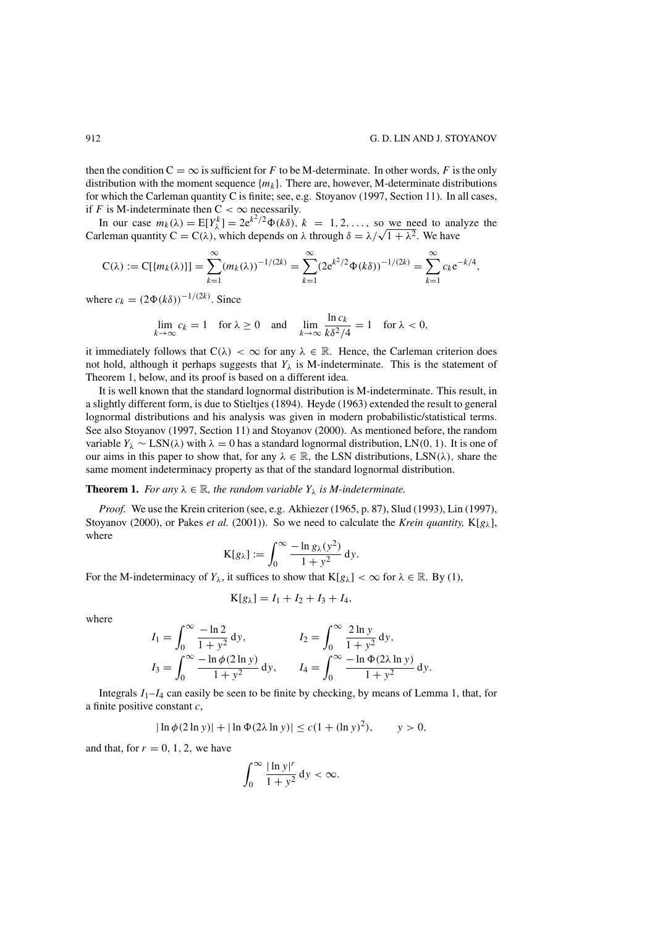<span id="page-3-0"></span>then the condition  $C = \infty$  is sufficient for F to be M-determinate. In other words, F is the only distribution with the moment sequence  $\{m_k\}$ . There are, however, M-determinate distributions for which the Carleman quantity C is finite; see, e.g. Stoyanov (1997, Section 11). In all cases, if F is M-indeterminate then  $C < \infty$  necessarily.

In our case  $m_k(\lambda) = E[Y_\lambda^k] = 2e^{k^2/2} \Phi(k\delta)$ ,  $k = 1, 2, ...,$  so we need to analyze the remain quantity  $C = C(\lambda)$  which depends on  $\lambda$  through  $\delta = \lambda/\sqrt{1 + \lambda^2}$  We have In our case  $m_k(\lambda) = E[Y_\lambda^k] = 2e^{\lambda/2} \Phi(k\delta), k = 1, 2, ...,$  so we need to ana<br>Carleman quantity  $C = C(\lambda)$ , which depends on  $\lambda$  through  $\delta = \lambda/\sqrt{1 + \lambda^2}$ . We have

$$
C(\lambda) := C[\{m_k(\lambda)\}] = \sum_{k=1}^{\infty} (m_k(\lambda))^{-1/(2k)} = \sum_{k=1}^{\infty} (2e^{k^2/2} \Phi(k\delta))^{-1/(2k)} = \sum_{k=1}^{\infty} c_k e^{-k/4},
$$

where  $c_k = (2\Phi(k\delta))^{-1/(2k)}$ . Since

$$
\lim_{k \to \infty} c_k = 1 \quad \text{for } \lambda \ge 0 \quad \text{and} \quad \lim_{k \to \infty} \frac{\ln c_k}{k \delta^2 / 4} = 1 \quad \text{for } \lambda < 0,
$$

it immediately follows that  $C(\lambda) < \infty$  for any  $\lambda \in \mathbb{R}$ . Hence, the Carleman criterion does not hold, although it perhaps suggests that  $Y_{\lambda}$  is M-indeterminate. This is the statement of Theorem 1, below, and its proof is based on a different idea.

It is well known that the standard lognormal distribution is M-indeterminate. This result, in a slightly different form, is due to Stieltjes (1894). Heyde (1963) extended the result to general lognormal distributions and his analysis was given in modern probabilistic/statistical terms. See also Stoyanov (1997, Section 11) and Stoyanov (2000). As mentioned before, the random variable  $Y_{\lambda} \sim \text{LSN}(\lambda)$  with  $\lambda = 0$  has a standard lognormal distribution, LN(0, 1). It is one of our aims in this paper to show that, for any  $\lambda \in \mathbb{R}$ , the LSN distributions, LSN( $\lambda$ ), share the same moment indeterminacy property as that of the standard lognormal distribution.

**Theorem 1.** *For any*  $\lambda \in \mathbb{R}$ *, the random variable*  $Y_{\lambda}$  *is M-indeterminate.* 

*Proof.* We use the Krein criterion (see, e.g. Akhiezer (1965, p. 87), Slud (1993), Lin (1997), Stoyanov (2000), or Pakes *et al.* (2001)). So we need to calculate the *Krein quantity*,  $K[g_\lambda]$ , where

$$
K[g_{\lambda}] := \int_0^{\infty} \frac{-\ln g_{\lambda}(y^2)}{1+y^2} dy.
$$

For the M-indeterminacy of  $Y_{\lambda}$ , it suffices to show that  $K[g_{\lambda}] < \infty$  for  $\lambda \in \mathbb{R}$ . By (1),

$$
K[g_{\lambda}] = I_1 + I_2 + I_3 + I_4,
$$

where

$$
I_1 = \int_0^\infty \frac{-\ln 2}{1 + y^2} dy, \qquad I_2 = \int_0^\infty \frac{2 \ln y}{1 + y^2} dy, I_3 = \int_0^\infty \frac{-\ln \phi (2 \ln y)}{1 + y^2} dy, \qquad I_4 = \int_0^\infty \frac{-\ln \phi (2 \lambda \ln y)}{1 + y^2} dy.
$$

Integrals  $I_1-I_4$  can easily be seen to be finite by checking, by means of Lemma 1, that, for a finite positive constant  $c$ ,

$$
|\ln \phi(2\ln y)| + |\ln \Phi(2\lambda \ln y)| \le c(1 + (\ln y)^2), \qquad y > 0,
$$

and that, for  $r = 0, 1, 2$ , we have

$$
\int_0^\infty \frac{|\ln y|^r}{1+y^2} \, \mathrm{d}y < \infty.
$$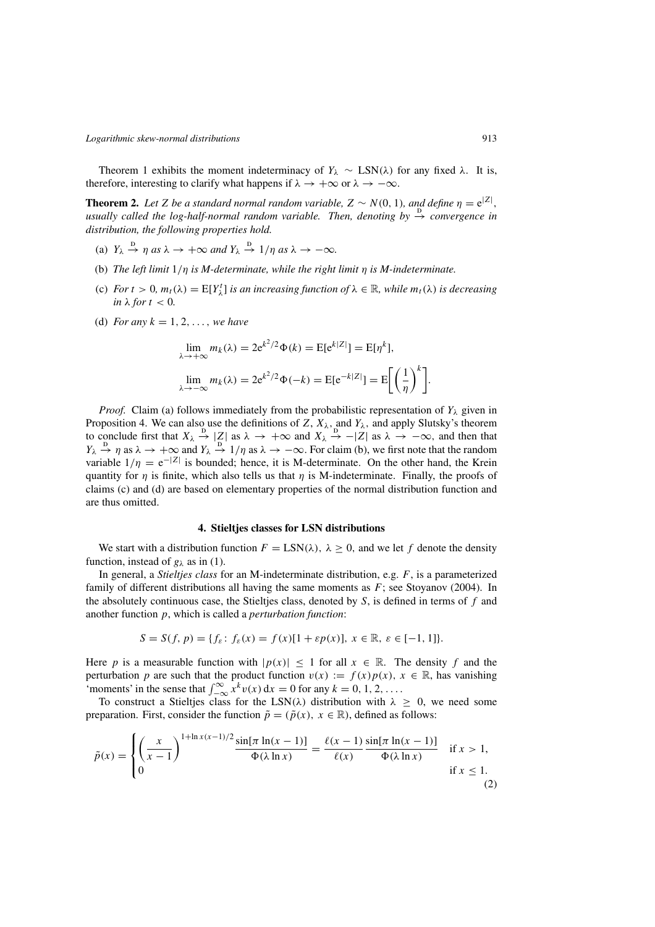<span id="page-4-0"></span>Theorem [1](#page-3-0) exhibits the moment indeterminacy of  $Y_\lambda \sim \text{LSN}(\lambda)$  for any fixed  $\lambda$ . It is, therefore, interesting to clarify what happens if  $\lambda \to +\infty$  or  $\lambda \to -\infty$ .

**Theorem 2.** Let Z be a standard normal random variable,  $Z \sim N(0, 1)$ , and define  $\eta = e^{|Z|}$ , *usually called the log-half-normal random variable. Then, denoting by* → *convergence in*<br>usually called the log-half-normal random variable. Then, denoting by → *convergence in distribution, the following properties hold.*

- (a)  $Y_{\lambda} \stackrel{\text{D}}{\rightarrow} \eta$  *as*  $\lambda \rightarrow +\infty$  *and*  $Y_{\lambda} \stackrel{\text{D}}{\rightarrow} 1/\eta$  *as*  $\lambda \rightarrow -\infty$ *.*
- (b) *The left limit* <sup>1</sup>/η *is M-determinate, while the right limit* η *is M-indeterminate.*
- (c) *For*  $t > 0$ ,  $m_t(\lambda) = E[Y_{\lambda}^t]$  *is an increasing function of*  $\lambda \in \mathbb{R}$ , *while*  $m_t(\lambda)$  *is decreasing*  $\sum_{i=1}^{t} m_i \lambda_i^t$  *is for*  $t < 0$ *in*  $\lambda$  *for*  $t < 0$ *.*
- (d) *For any*  $k = 1, 2, ...,$  *we have*

$$
\lim_{\lambda \to +\infty} m_k(\lambda) = 2e^{k^2/2} \Phi(k) = E[e^{k|Z|}] = E[\eta^k],
$$
  

$$
\lim_{\lambda \to -\infty} m_k(\lambda) = 2e^{k^2/2} \Phi(-k) = E[e^{-k|Z|}] = E\left[\left(\frac{1}{\eta}\right)^k\right].
$$

*Proof.* Claim (a) follows immediately from the probabilistic representation of  $Y_{\lambda}$  given in Proposition 4. We can also use the definitions of Z,  $X_{\lambda}$ , and  $Y_{\lambda}$ , and apply Slutsky's theorem to conclude first that  $X_{\lambda} \to |Z|$  as  $\lambda \to +\infty$  and  $X_{\lambda} \to -|Z|$  as  $\lambda \to -\infty$ , and then that  $Y_{\lambda} \to \infty$  and  $Y_{\lambda} \to \infty$  and  $Y_{\lambda} \to \infty$ . variable  $1/\eta = e^{-|Z|}$  is bounded; hence, it is M-determinate. On the other hand, the Krein<br>quantity for *n* is finite, which also tells us that *n* is M-indeterminate. Finally, the proofs of  $\rightarrow \eta$  as  $\lambda \rightarrow +\infty$  and  $Y_{\lambda} \rightarrow 1/\eta$  as  $\lambda \rightarrow -\infty$ . For claim (b), we first note that the random<br>iable  $1/n = e^{-|Z|}$  is bounded: bence, it is M-determinate. On the other hand, the Krein quantity for  $\eta$  is finite, which also tells us that  $\eta$  is M-indeterminate. Finally, the proofs of claims (c) and (d) are based on elementary properties of the normal distribution function and are thus omitted.

#### **4. Stieltjes classes for LSN distributions**

We start with a distribution function  $F = \text{LSN}(\lambda)$ ,  $\lambda \geq 0$ , and we let f denote the density function, instead of  $g_{\lambda}$  as in [\(1\)](#page-1-0).

In general, a *Stieltjes class* for an M-indeterminate distribution, e.g. F, is a parameterized family of different distributions all having the same moments as  $F$ ; see Stoyanov (2004). In the absolutely continuous case, the Stieltjes class, denoted by  $S$ , is defined in terms of  $f$  and another function p, which is called a *perturbation function*:

$$
S = S(f, p) = \{ f_{\varepsilon} \colon f_{\varepsilon}(x) = f(x)[1 + \varepsilon p(x)], \ x \in \mathbb{R}, \ \varepsilon \in [-1, 1] \}.
$$

Here p is a measurable function with  $|p(x)| \leq 1$  for all  $x \in \mathbb{R}$ . The density f and the perturbation p are such that the product function  $v(x) := f(x)p(x)$ ,  $x \in \mathbb{R}$ , has vanishing 'moments' in the sense that  $\int_{-\infty}^{\infty} x^k v(x) dx = 0$  for any  $k = 0, 1, 2, ...$ <br>To construct a Stielties class for the LSN(1) distribution with  $\lambda$ 

To construct a Stieltjes class for the LSN( $\lambda$ ) distribution with  $\lambda \geq 0$ , we need some preparation. First, consider the function  $\tilde{p} = (\tilde{p}(x), x \in \mathbb{R})$ , defined as follows:

$$
\tilde{p}(x) = \begin{cases}\n\left(\frac{x}{x-1}\right)^{1+\ln x(x-1)/2} \frac{\sin[\pi \ln(x-1)]}{\Phi(\lambda \ln x)} = \frac{\ell(x-1)}{\ell(x)} \frac{\sin[\pi \ln(x-1)]}{\Phi(\lambda \ln x)} & \text{if } x > 1, \\
0 & \text{if } x \le 1.\n\end{cases}
$$
\n(2)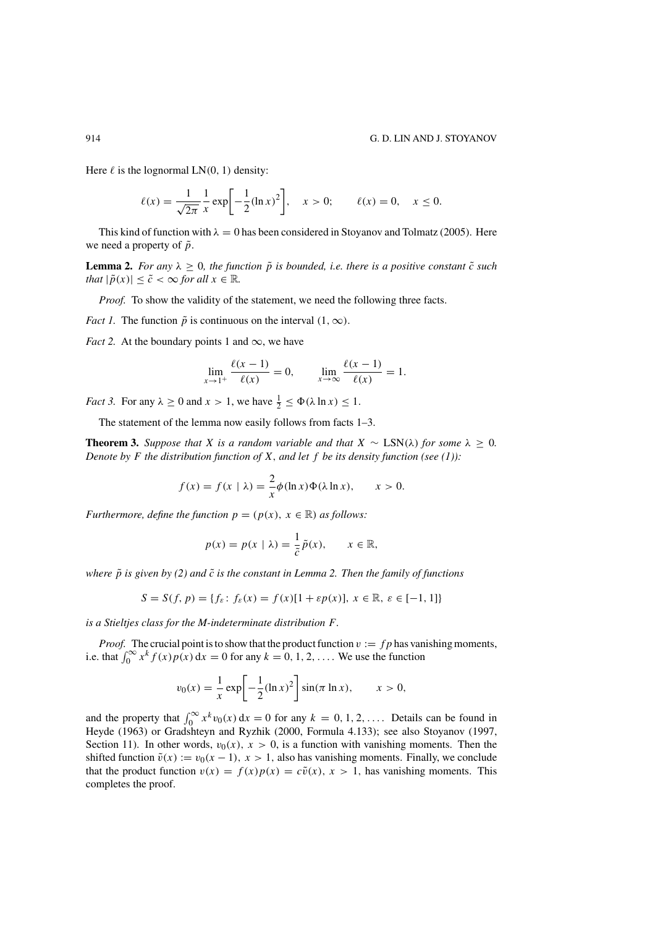Here  $\ell$  is the lognormal LN(0, 1) density:

$$
\ell(x) = \frac{1}{\sqrt{2\pi}} \frac{1}{x} \exp\left[-\frac{1}{2}(\ln x)^2\right], \quad x > 0; \qquad \ell(x) = 0, \quad x \le 0.
$$

This kind of function with  $\lambda = 0$  has been considered in Stoyanov and Tolmatz (2005). Here we need a property of  $\tilde{p}$ .

**Lemma 2.** *For any*  $\lambda \geq 0$ *, the function*  $\tilde{p}$  *is bounded, i.e. there is a positive constant*  $\tilde{c}$  *such that*  $|\tilde{p}(x)| \leq \tilde{c} < \infty$  *for all*  $x \in \mathbb{R}$ *.* 

*Proof.* To show the validity of the statement, we need the following three facts.

*Fact 1.* The function  $\tilde{p}$  is continuous on the interval  $(1, \infty)$ .

*Fact 2.* At the boundary points 1 and  $\infty$ , we have

$$
\lim_{x \to 1^{+}} \frac{\ell(x - 1)}{\ell(x)} = 0, \qquad \lim_{x \to \infty} \frac{\ell(x - 1)}{\ell(x)} = 1.
$$

*Fact 3.* For any  $\lambda \ge 0$  and  $x > 1$ , we have  $\frac{1}{2} \le \Phi(\lambda \ln x) \le 1$ .

The statement of the lemma now easily follows from facts 1–3.

**Theorem 3.** *Suppose that* X *is a random variable and that*  $X \sim \text{LSN}(\lambda)$  *for some*  $\lambda > 0$ *. Denote by* F *the distribution function of* X, and let f be its density function (see [\(1\)](#page-1-0)):

$$
f(x) = f(x | \lambda) = \frac{2}{x} \phi(\ln x) \Phi(\lambda \ln x), \qquad x > 0.
$$

*Furthermore, define the function*  $p = (p(x), x \in \mathbb{R})$  *as follows:* 

$$
p(x) = p(x | \lambda) = \frac{1}{\tilde{c}} \tilde{p}(x), \qquad x \in \mathbb{R},
$$

*where*  $\tilde{p}$  *is given by [\(2\)](#page-4-0)* and  $\tilde{c}$  *is the constant in Lemma 2. Then the family of functions* 

$$
S = S(f, p) = \{ f_{\varepsilon} \colon f_{\varepsilon}(x) = f(x)[1 + \varepsilon p(x)], \ x \in \mathbb{R}, \ \varepsilon \in [-1, 1] \}
$$

*is a Stieltjes class for the M-indeterminate distribution* F*.*

*Proof.* The crucial point is to show that the product function  $v := fp$  has vanishing moments, i.e. that  $\int_0^\infty x^k f(x)p(x) dx = 0$  for any  $k = 0, 1, 2, \ldots$ . We use the function

$$
v_0(x) = {1 \over x} \exp \left[ -{1 \over 2} (\ln x)^2 \right] \sin(\pi \ln x), \qquad x > 0,
$$

and the property that  $\int_0^\infty x^k v_0(x) dx = 0$  for any  $k = 0, 1, 2, \ldots$ . Details can be found in<br>Heyde (1963) or Gradshteyn and Ryzhik (2000, Formula 4.133); see also Stovanov (1997) Heyde (1963) or Gradshteyn and Ryzhik (2000, Formula 4.133); see also Stoyanov (1997, Section 11). In other words,  $v_0(x)$ ,  $x > 0$ , is a function with vanishing moments. Then the shifted function  $\tilde{v}(x) := v_0(x - 1)$ ,  $x > 1$ , also has vanishing moments. Finally, we conclude that the product function  $v(x) = f(x)p(x) = c\tilde{v}(x), x > 1$ , has vanishing moments. This completes the proof.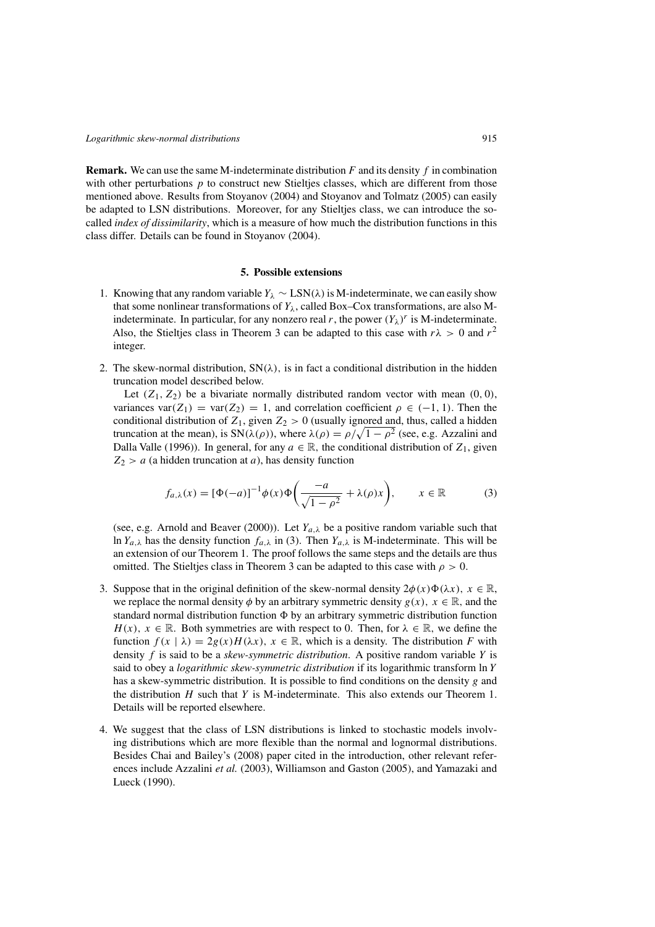**Remark.** We can use the same M-indeterminate distribution  $F$  and its density  $f$  in combination with other perturbations  $p$  to construct new Stieltjes classes, which are different from those mentioned above. Results from Stoyanov (2004) and Stoyanov and Tolmatz (2005) can easily be adapted to LSN distributions. Moreover, for any Stieltjes class, we can introduce the socalled *index of dissimilarity*, which is a measure of how much the distribution functions in this class differ. Details can be found in Stoyanov (2004).

#### **5. Possible extensions**

- 1. Knowing that any random variable  $Y_\lambda \sim \text{LSN}(\lambda)$  is M-indeterminate, we can easily show that some nonlinear transformations of  $Y_{\lambda}$ , called Box–Cox transformations, are also Mindeterminate. In particular, for any nonzero real r, the power  $(Y_\lambda)^r$  is M-indeterminate. Also, the Stieltjes class in Theorem 3 can be adapted to this case with  $r\lambda > 0$  and  $r^2$ integer.
- 2. The skew-normal distribution,  $SN(\lambda)$ , is in fact a conditional distribution in the hidden truncation model described below.

Let  $(Z_1, Z_2)$  be a bivariate normally distributed random vector with mean  $(0, 0)$ , variances var $(Z_1)$  = var $(Z_2)$  = 1, and correlation coefficient  $\rho \in (-1, 1)$ . Then the conditional distribution of  $Z_1$ , given  $Z_2 > 0$  (usually ignored and, thus, called a hidden truncation at the mean), is  $SN(\lambda(\rho))$ , where  $\lambda(\rho) = \rho/\sqrt{1-\rho^2}$  (see, e.g. Azzalini and Dalla Valle (1996)). In general, for any  $a \in \mathbb{R}$ , the conditional distribution of Z, given Dalla Valle (1996)). In general, for any  $a \in \mathbb{R}$ , the conditional distribution of  $Z_1$ , given  $Z_2 > a$  (a hidden truncation at a), has density function

$$
f_{a,\lambda}(x) = [\Phi(-a)]^{-1} \phi(x) \Phi\left(\frac{-a}{\sqrt{1-\rho^2}} + \lambda(\rho)x\right), \qquad x \in \mathbb{R} \tag{3}
$$

(see, e.g. Arnold and Beaver (2000)). Let  $Y_{a,\lambda}$  be a positive random variable such that ln  $Y_{a,\lambda}$  has the density function  $f_{a,\lambda}$  in (3). Then  $Y_{a,\lambda}$  is M-indeterminate. This will be an extension of our Theorem [1.](#page-3-0) The proof follows the same steps and the details are thus omitted. The Stieltjes class in Theorem 3 can be adapted to this case with  $\rho > 0$ .

- 3. Suppose that in the original definition of the skew-normal density  $2\phi(x)\Phi(\lambda x)$ ,  $x \in \mathbb{R}$ , we replace the normal density  $\phi$  by an arbitrary symmetric density  $g(x)$ ,  $x \in \mathbb{R}$ , and the we replace the normal density  $\phi$  by an arbitrary symmetric density  $g(x)$ ,  $x \in \mathbb{R}$ , and the standard normal distribution function  $\Phi$  by an arbitrary symmetric distribution function  $H(x)$ ,  $x \in \mathbb{R}$ . Both symmetries are with respect to 0. Then, for  $\lambda \in \mathbb{R}$ , we define the  $H(x)$ ,  $x \in \mathbb{R}$ . Both symmetries are with respect to 0. Then, for  $\lambda \in \mathbb{R}$ , we define the function  $f(x | \lambda) = 2g(x)H(\lambda x)$ ,  $x \in \mathbb{R}$ , which is a density. The distribution F with density f is said to be a *skew-symmetric distribution*. A positive random variable Y is said to obey a *logarithmic skew-symmetric distribution* if its logarithmic transform ln Y has a skew-symmetric distribution. It is possible to find conditions on the density g and the distribution  $H$  such that  $Y$  is M-indeterminate. This also extends our Theorem 1. Details will be reported elsewhere.
- 4. We suggest that the class of LSN distributions is linked to stochastic models involving distributions which are more flexible than the normal and lognormal distributions. Besides Chai and Bailey's (2008) paper cited in the introduction, other relevant references include Azzalini *et al.* (2003), Williamson and Gaston (2005), and Yamazaki and Lueck (1990).